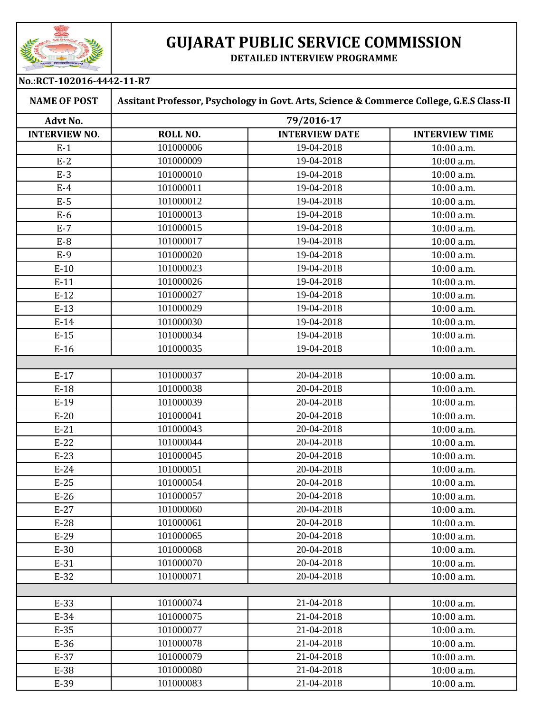

## **GUJARAT PUBLIC SERVICE COMMISSION**

**DETAILED INTERVIEW PROGRAMME**

| No.:RCT-102016-4442-11-R7 |                                                                                          |                       |                       |  |  |
|---------------------------|------------------------------------------------------------------------------------------|-----------------------|-----------------------|--|--|
| <b>NAME OF POST</b>       | Assitant Professor, Psychology in Govt. Arts, Science & Commerce College, G.E.S Class-II |                       |                       |  |  |
| <b>Advt No.</b>           | 79/2016-17                                                                               |                       |                       |  |  |
| <b>INTERVIEW NO.</b>      | ROLL NO.                                                                                 | <b>INTERVIEW DATE</b> | <b>INTERVIEW TIME</b> |  |  |
| $E-1$                     | 101000006                                                                                | 19-04-2018            | 10:00 a.m.            |  |  |
| $E-2$                     | 101000009                                                                                | 19-04-2018            | 10:00 a.m.            |  |  |
| $E-3$                     | 101000010                                                                                | 19-04-2018            | 10:00 a.m.            |  |  |
| $E-4$                     | 101000011                                                                                | 19-04-2018            | 10:00 a.m.            |  |  |
| $E-5$                     | 101000012                                                                                | 19-04-2018            | 10:00 a.m.            |  |  |
| $E-6$                     | 101000013                                                                                | 19-04-2018            | 10:00 a.m.            |  |  |
| $E-7$                     | 101000015                                                                                | 19-04-2018            | 10:00 a.m.            |  |  |
| $E-8$                     | 101000017                                                                                | 19-04-2018            | 10:00 a.m.            |  |  |
| $E-9$                     | 101000020                                                                                | 19-04-2018            | 10:00 a.m.            |  |  |
| $E-10$                    | 101000023                                                                                | 19-04-2018            | 10:00 a.m.            |  |  |
| $E-11$                    | 101000026                                                                                | 19-04-2018            | 10:00 a.m.            |  |  |
| $E-12$                    | 101000027                                                                                | 19-04-2018            | 10:00 a.m.            |  |  |
| $E-13$                    | 101000029                                                                                | 19-04-2018            | 10:00 a.m.            |  |  |
| $E-14$                    | 101000030                                                                                | 19-04-2018            | 10:00 a.m.            |  |  |
| $E-15$                    | 101000034                                                                                | 19-04-2018            | 10:00 a.m.            |  |  |
| $E-16$                    | 101000035                                                                                | 19-04-2018            | 10:00 a.m.            |  |  |
|                           |                                                                                          |                       |                       |  |  |
| $E-17$                    | 101000037                                                                                | 20-04-2018            | 10:00 a.m.            |  |  |
| $E-18$                    | 101000038                                                                                | 20-04-2018            | 10:00 a.m.            |  |  |
| $E-19$                    | 101000039                                                                                | 20-04-2018            | 10:00 a.m.            |  |  |
| $E-20$                    | 101000041                                                                                | 20-04-2018            | 10:00 a.m.            |  |  |
| $E-21$                    | 101000043                                                                                | 20-04-2018            | 10:00 a.m.            |  |  |
| $E-22$                    | 101000044                                                                                | 20-04-2018            | 10:00 a.m.            |  |  |
| $E-23$                    | 101000045                                                                                | 20-04-2018            | 10:00 a.m.            |  |  |
| $E-24$                    | 101000051                                                                                | 20-04-2018            | 10:00 a.m.            |  |  |
| $E-25$                    | 101000054                                                                                | 20-04-2018            | 10:00 a.m.            |  |  |
| $E-26$                    | 101000057                                                                                | 20-04-2018            | 10:00 a.m.            |  |  |
| $E-27$                    | 101000060                                                                                | 20-04-2018            | 10:00 a.m.            |  |  |
| $E-28$                    | 101000061                                                                                | 20-04-2018            | 10:00 a.m.            |  |  |
| $E-29$                    | 101000065                                                                                | 20-04-2018            | 10:00 a.m.            |  |  |
| $E-30$                    | 101000068                                                                                | 20-04-2018            | $10:00$ a.m.          |  |  |
| $E-31$                    | 101000070                                                                                | 20-04-2018            | 10:00 a.m.            |  |  |
| $E-32$                    | 101000071                                                                                | 20-04-2018            | 10:00 a.m.            |  |  |
|                           |                                                                                          |                       |                       |  |  |
| $E-33$                    | 101000074                                                                                | 21-04-2018            | 10:00 a.m.            |  |  |
| $E-34$                    | 101000075                                                                                | 21-04-2018            | 10:00 a.m.            |  |  |
| $E-35$                    | 101000077                                                                                | 21-04-2018            | 10:00 a.m.            |  |  |
| $E-36$                    | 101000078                                                                                | 21-04-2018            | 10:00 a.m.            |  |  |
| $E-37$                    | 101000079                                                                                | 21-04-2018            | 10:00 a.m.            |  |  |
| E-38                      | 101000080                                                                                | 21-04-2018            | 10:00 a.m.            |  |  |
| $E-39$                    | 101000083                                                                                | 21-04-2018            | 10:00 a.m.            |  |  |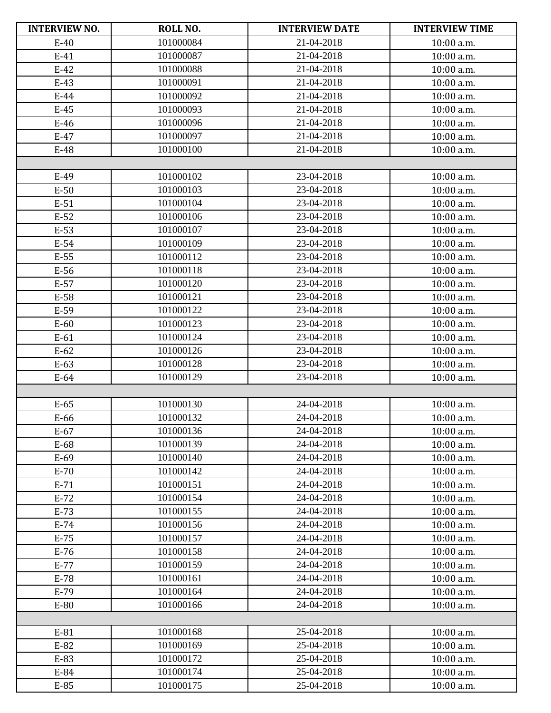| <b>INTERVIEW NO.</b> | ROLL NO.  | <b>INTERVIEW DATE</b> | <b>INTERVIEW TIME</b> |
|----------------------|-----------|-----------------------|-----------------------|
| $E-40$               | 101000084 | 21-04-2018            | 10:00 a.m.            |
| $E-41$               | 101000087 | 21-04-2018            | 10:00 a.m.            |
| $E-42$               | 101000088 | 21-04-2018            | 10:00 a.m.            |
| $E-43$               | 101000091 | 21-04-2018            | 10:00 a.m.            |
| $E-44$               | 101000092 | 21-04-2018            | 10:00 a.m.            |
| $E-45$               | 101000093 | 21-04-2018            | 10:00 a.m.            |
| $E-46$               | 101000096 | 21-04-2018            | 10:00 a.m.            |
| $E-47$               | 101000097 | 21-04-2018            | 10:00 a.m.            |
| E-48                 | 101000100 | 21-04-2018            | 10:00 a.m.            |
|                      |           |                       |                       |
| E-49                 | 101000102 | 23-04-2018            | 10:00 a.m.            |
| $E-50$               | 101000103 | 23-04-2018            | 10:00 a.m.            |
| $E-51$               | 101000104 | 23-04-2018            | 10:00 a.m.            |
| $E-52$               | 101000106 | 23-04-2018            | 10:00 a.m.            |
| $E-53$               | 101000107 | 23-04-2018            | 10:00 a.m.            |
| $E-54$               | 101000109 | 23-04-2018            | 10:00 a.m.            |
| $E-55$               | 101000112 | 23-04-2018            | 10:00 a.m.            |
| E-56                 | 101000118 | 23-04-2018            | 10:00 a.m.            |
| $E-57$               | 101000120 | 23-04-2018            | 10:00 a.m.            |
| E-58                 | 101000121 | 23-04-2018            | 10:00 a.m.            |
| E-59                 | 101000122 | 23-04-2018            | 10:00 a.m.            |
| $E-60$               | 101000123 | 23-04-2018            | 10:00 a.m.            |
| $E-61$               | 101000124 | 23-04-2018            | 10:00 a.m.            |
| $E-62$               | 101000126 | 23-04-2018            | 10:00 a.m.            |
| $E-63$               | 101000128 | 23-04-2018            | 10:00 a.m.            |
| $E-64$               | 101000129 | 23-04-2018            | 10:00 a.m.            |
|                      |           |                       |                       |
| $E-65$               | 101000130 | 24-04-2018            | 10:00 a.m.            |
| E-66                 | 101000132 | 24-04-2018            | 10:00 a.m.            |
| $E-67$               | 101000136 | 24-04-2018            | 10:00 a.m.            |
| E-68                 | 101000139 | 24-04-2018            | 10:00 a.m.            |
| E-69                 | 101000140 | 24-04-2018            | 10:00 a.m.            |
| $E-70$               | 101000142 | 24-04-2018            | 10:00 a.m.            |
| $E-71$               | 101000151 | 24-04-2018            | 10:00 a.m.            |
| $E-72$               | 101000154 | 24-04-2018            | 10:00 a.m.            |
| $E-73$               | 101000155 | 24-04-2018            | 10:00 a.m.            |
| $E-74$               | 101000156 | 24-04-2018            | 10:00 a.m.            |
| $E-75$               | 101000157 | 24-04-2018            | 10:00 a.m.            |
| $E-76$               | 101000158 | 24-04-2018            | 10:00 a.m.            |
| $E-77$               | 101000159 | 24-04-2018            | 10:00 a.m.            |
| $E-78$               | 101000161 | 24-04-2018            | 10:00 a.m.            |
| $E-79$               | 101000164 | 24-04-2018            | 10:00 a.m.            |
| E-80                 | 101000166 | 24-04-2018            | 10:00 a.m.            |
|                      |           |                       |                       |
| E-81                 | 101000168 | 25-04-2018            | 10:00 a.m.            |
| $E-82$               | 101000169 | 25-04-2018            | 10:00 a.m.            |
| E-83                 | 101000172 | 25-04-2018            | 10:00 a.m.            |
| E-84                 | 101000174 | 25-04-2018            | 10:00 a.m.            |
| E-85                 | 101000175 | 25-04-2018            | 10:00 a.m.            |